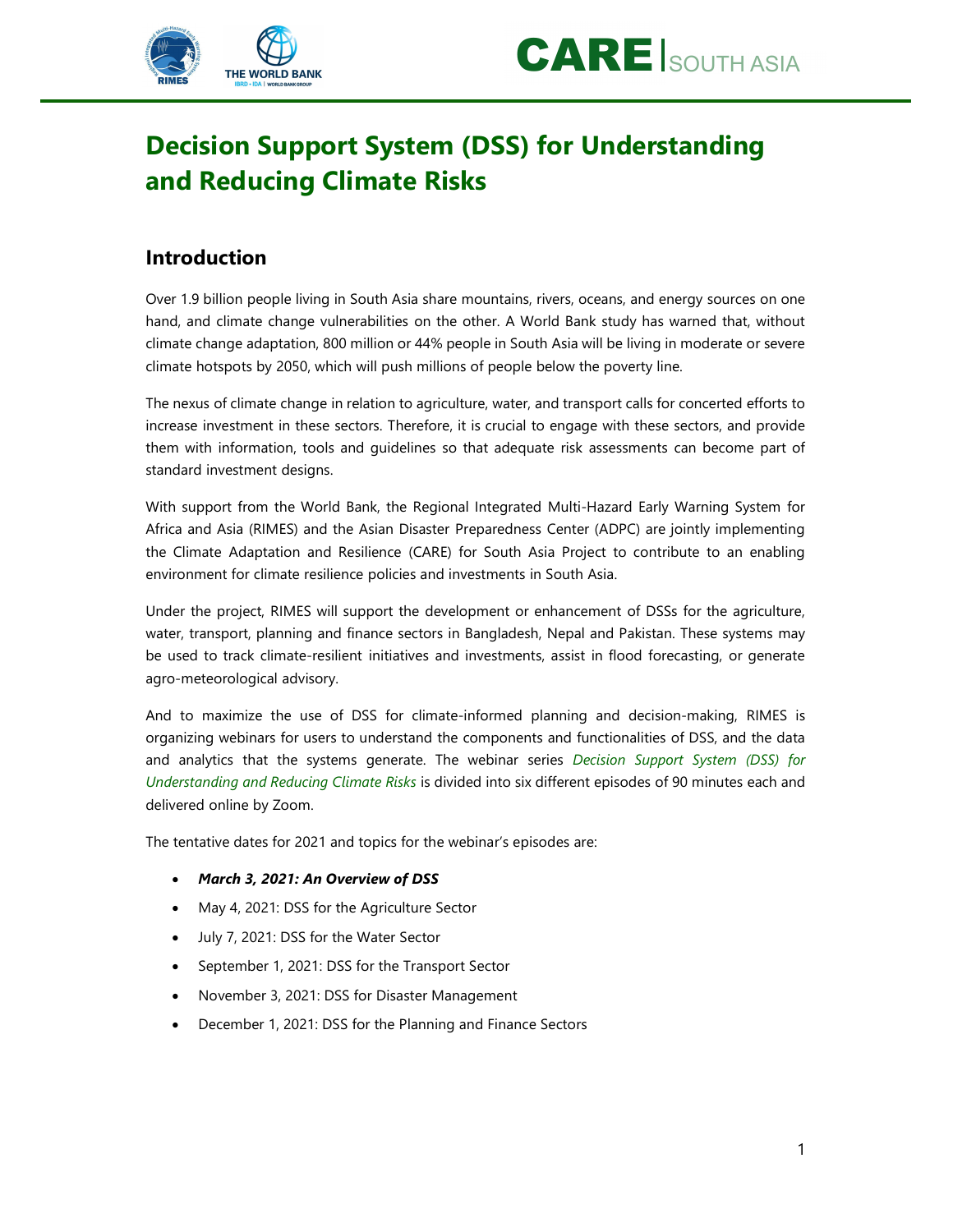



# Decision Support System (DSS) for Understanding and Reducing Climate Risks

### Introduction

Over 1.9 billion people living in South Asia share mountains, rivers, oceans, and energy sources on one hand, and climate change vulnerabilities on the other. A World Bank study has warned that, without climate change adaptation, 800 million or 44% people in South Asia will be living in moderate or severe climate hotspots by 2050, which will push millions of people below the poverty line.

The nexus of climate change in relation to agriculture, water, and transport calls for concerted efforts to increase investment in these sectors. Therefore, it is crucial to engage with these sectors, and provide them with information, tools and guidelines so that adequate risk assessments can become part of standard investment designs.

With support from the World Bank, the Regional Integrated Multi-Hazard Early Warning System for Africa and Asia (RIMES) and the Asian Disaster Preparedness Center (ADPC) are jointly implementing the Climate Adaptation and Resilience (CARE) for South Asia Project to contribute to an enabling environment for climate resilience policies and investments in South Asia.

Under the project, RIMES will support the development or enhancement of DSSs for the agriculture, water, transport, planning and finance sectors in Bangladesh, Nepal and Pakistan. These systems may be used to track climate-resilient initiatives and investments, assist in flood forecasting, or generate agro-meteorological advisory.

And to maximize the use of DSS for climate-informed planning and decision-making, RIMES is organizing webinars for users to understand the components and functionalities of DSS, and the data and analytics that the systems generate. The webinar series Decision Support System (DSS) for Understanding and Reducing Climate Risks is divided into six different episodes of 90 minutes each and delivered online by Zoom.

The tentative dates for 2021 and topics for the webinar's episodes are:

- March 3, 2021: An Overview of DSS
- May 4, 2021: DSS for the Agriculture Sector
- July 7, 2021: DSS for the Water Sector
- September 1, 2021: DSS for the Transport Sector
- November 3, 2021: DSS for Disaster Management
- December 1, 2021: DSS for the Planning and Finance Sectors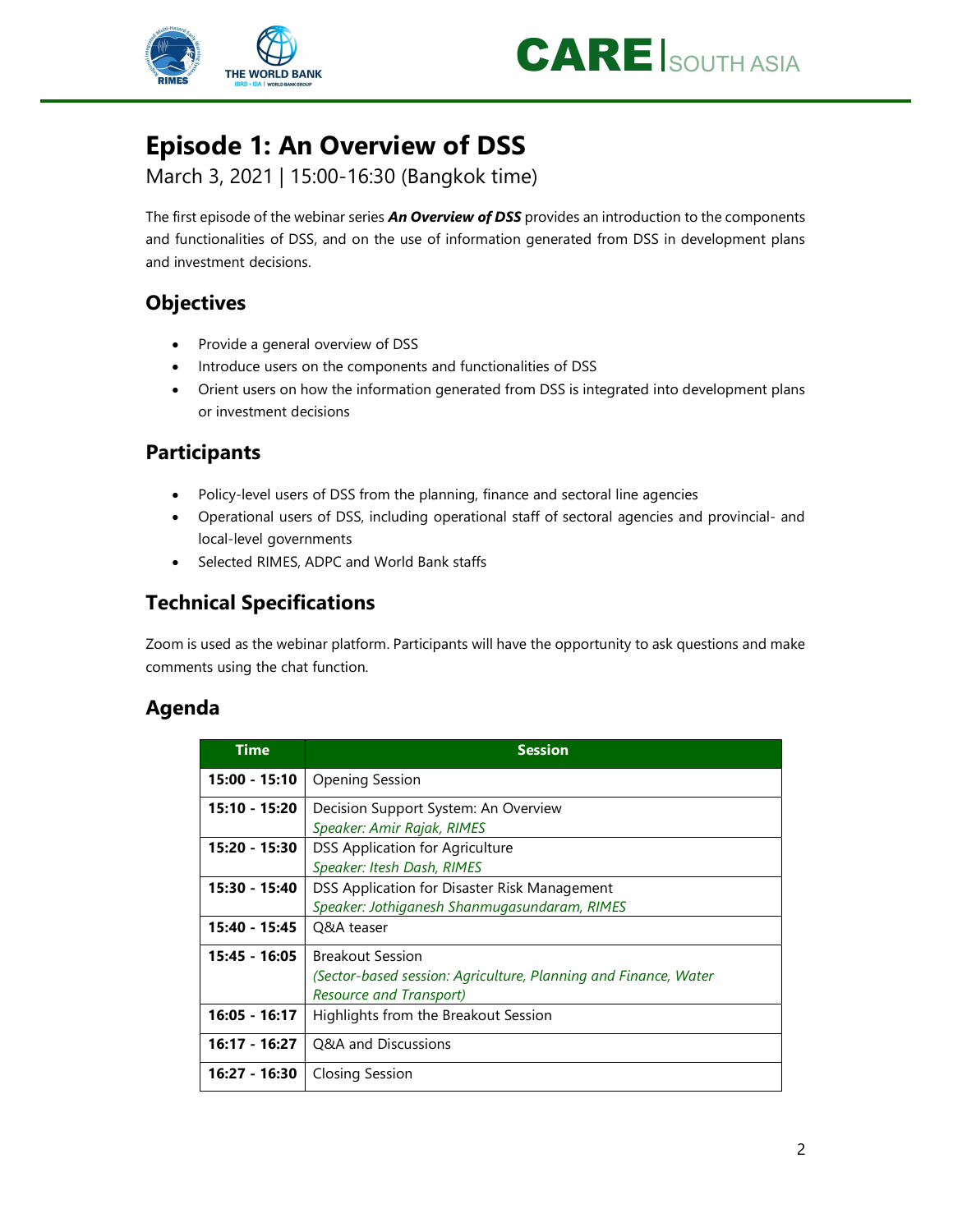



# Episode 1: An Overview of DSS

March 3, 2021 | 15:00-16:30 (Bangkok time)

The first episode of the webinar series *An Overview of DSS* provides an introduction to the components and functionalities of DSS, and on the use of information generated from DSS in development plans and investment decisions.

# **Objectives**

- Provide a general overview of DSS
- Introduce users on the components and functionalities of DSS
- Orient users on how the information generated from DSS is integrated into development plans or investment decisions

### Participants

- Policy-level users of DSS from the planning, finance and sectoral line agencies
- Operational users of DSS, including operational staff of sectoral agencies and provincial- and local-level governments
- Selected RIMES, ADPC and World Bank staffs

# Technical Specifications

Zoom is used as the webinar platform. Participants will have the opportunity to ask questions and make comments using the chat function.

## Agenda

| Time            | <b>Session</b>                                                                                                               |
|-----------------|------------------------------------------------------------------------------------------------------------------------------|
| $15:00 - 15:10$ | <b>Opening Session</b>                                                                                                       |
| 15:10 - 15:20   | Decision Support System: An Overview<br>Speaker: Amir Rajak, RIMES                                                           |
| 15:20 - 15:30   | DSS Application for Agriculture<br>Speaker: Itesh Dash, RIMES                                                                |
| 15:30 - 15:40   | DSS Application for Disaster Risk Management<br>Speaker: Jothiganesh Shanmugasundaram, RIMES                                 |
| $15:40 - 15:45$ | Q&A teaser                                                                                                                   |
| 15:45 - 16:05   | <b>Breakout Session</b><br>(Sector-based session: Agriculture, Planning and Finance, Water<br><b>Resource and Transport)</b> |
| $16:05 - 16:17$ | Highlights from the Breakout Session                                                                                         |
| 16:17 - 16:27   | Q&A and Discussions                                                                                                          |
| 16:27 - 16:30   | Closing Session                                                                                                              |